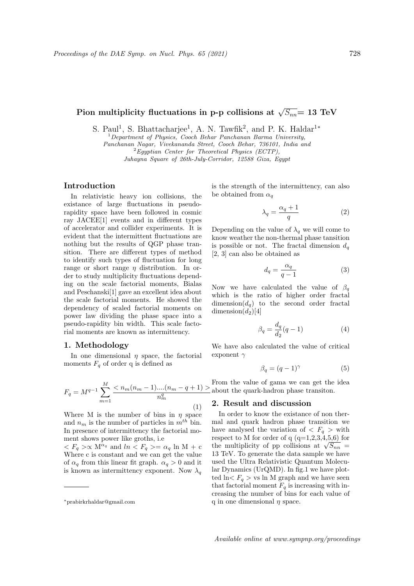# Pion multiplicity fluctuations in p-p collisions at  $\sqrt{S_{nn}}$  = 13 TeV

S. Paul<sup>1</sup>, S. Bhattacharjee<sup>1</sup>, A. N. Tawfik<sup>2</sup>, and P. K. Haldar<sup>1\*</sup>

 $1$ Department of Physics, Cooch Behar Panchanan Barma University, Panchanan Nagar, Vivekananda Street, Cooch Behar, 736101, India and  ${}^{2}$ Egyptian Center for Theoretical Physics (ECTP), Juhayna Square of 26th-July-Corridor, 12588 Giza, Egypt

## Introduction

In relativistic heavy ion collisions, the existance of large fluctuations in pseudorapidity space have been followed in cosmic ray JACEE[1] events and in different types of accelerator and collider experiments. It is evident that the intermittent fluctuations are nothing but the results of QGP phase transition. There are different types of method to identify such types of fluctuation for long range or short range  $\eta$  distribution. In order to study multiplicity fluctuations depending on the scale factorial moments, Bialas and Peschanski[1] gave an excellent idea about the scale factorial moments. He showed the dependency of scaled factorial moments on power law dividing the phase space into a pseudo-rapidity bin width. This scale factorial moments are known as intermittency.

### 1. Methodology

In one dimensional  $\eta$  space, the factorial moments  $F_q$  of order q is defined as

$$
F_q = M^{q-1} \sum_{m=1}^{M} \frac{< n_m(n_m-1)...(n_m-q+1) >}{n_m^q} \tag{1}
$$

Where M is the number of bins in  $\eta$  space and  $n_m$  is the number of particles in  $m^{th}$  bin. In presence of intermittency the factorial moment shows power like groths, i.e

 $\langle F_q \rangle \propto M^{\alpha_q}$  and  $\ln \langle F_q \rangle = \alpha_q \ln M + c$ Where c is constant and we can get the value of  $\alpha_a$  from this linear fit graph.  $\alpha_a > 0$  and it is known as intermittency exponent. Now  $\lambda_a$  is the strength of the intermittency, can also be obtained from  $\alpha_q$ 

$$
\lambda_q = \frac{\alpha_q + 1}{q} \tag{2}
$$

Depending on the value of  $\lambda_q$  we will come to know weather the non-thermal phase tansition is possible or not. The fractal dimension  $d_q$ [2, 3] can also be obtained as

$$
d_q = \frac{\alpha_q}{q - 1} \tag{3}
$$

Now we have calculated the value of  $\beta_q$ which is the ratio of higher order fractal dimension( $d_q$ ) to the second order fractal dimension $(d_2)[4]$ 

$$
\beta_q = \frac{d_q}{d_2}(q-1) \tag{4}
$$

We have also calculated the value of critical exponent  $\gamma$ 

$$
\beta_q = (q-1)^\gamma \tag{5}
$$

From the value of gama we can get the idea about the quark-hadron phase transiton.

#### 2. Result and discussion

In order to know the existance of non thermal and quark hadron phase transition we have analysed the variation of  $\langle F_q \rangle$  with respect to M for order of q  $(q=1,2,3,4,5,6)$  for respect to M for order of q (q=1,2,3,4,5,0) for<br>the multiplicity of pp collisions at  $\sqrt{S_{nn}} =$ 13 TeV. To generate the data sample we have used the Ultra Relativistic Quantum Molecular Dynamics (UrQMD). In fig.1 we have plotted  $\ln \langle F_q \rangle$  vs ln M graph and we have seen that factorial moment  $F_a$  is increasing with increasing the number of bins for each value of q in one dimensional  $\eta$  space.

<sup>∗</sup>prabirkrhaldar@gmail.com